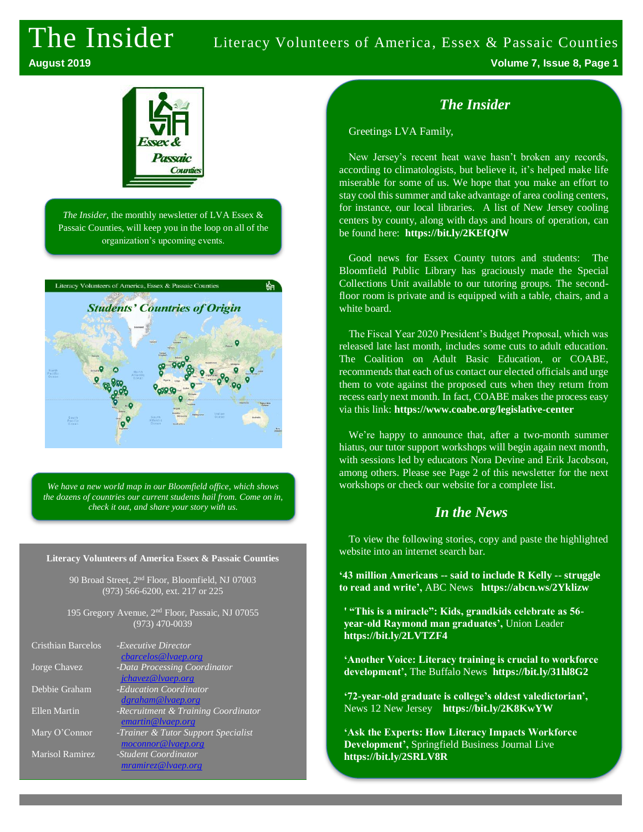# The Insider Literacy Volunteers of America, Essex & Passaic Counties

**August 2019 Volume 7, Issue 8, Page 1**



*The Insider,* the monthly newsletter of LVA Essex & Passaic Counties, will keep you in the loop on all of the organization's upcoming events.



*We have a new world map in our Bloomfield office, which shows the dozens of countries our current students hail from. Come on in, check it out, and share your story with us.*

#### **Literacy Volunteers of America Essex & Passaic Counties**

90 Broad Street, 2nd Floor, Bloomfield, NJ 07003 (973) 566-6200, ext. 217 or 225

195 Gregory Avenue, 2nd Floor, Passaic, NJ 07055 (973) 470-0039

| Cristhian Barcelos     | - <i>Executive Director</i><br>cbarcelos@lvaep.org |
|------------------------|----------------------------------------------------|
| Jorge Chavez           | -Data Processing Coordinator                       |
|                        | jchavez@lvaep.org                                  |
| Debbie Graham          | -Education Coordinator                             |
|                        | dgraham@lvaep.org                                  |
| <b>Ellen Martin</b>    | -Recruitment & Training Coordinator                |
|                        | emartin@lvaep.org                                  |
| Mary O'Connor          | -Trainer & Tutor Support Specialist                |
|                        | moconnor@lvaep.org                                 |
| <b>Marisol Ramirez</b> | -Student Coordinator                               |
|                        | mramirez@lvaep.org                                 |

## *The Insider*

Greetings LVA Family,

New Jersey's recent heat wave hasn't broken any records, according to climatologists, but believe it, it's helped make life miserable for some of us. We hope that you make an effort to stay cool this summer and take advantage of area cooling centers, for instance, our local libraries. A list of New Jersey cooling centers by county, along with days and hours of operation, can be found here: **https://bit.ly/2KEfQfW**

Good news for Essex County tutors and students: The Bloomfield Public Library has graciously made the Special Collections Unit available to our tutoring groups. The secondfloor room is private and is equipped with a table, chairs, and a white board.

The Fiscal Year 2020 President's Budget Proposal, which was released late last month, includes some cuts to adult education. The Coalition on Adult Basic Education, or COABE, recommends that each of us contact our elected officials and urge them to vote against the proposed cuts when they return from recess early next month. In fact, COABE makes the process easy via this link: **https://www.coabe.org/legislative-center**

We're happy to announce that, after a two-month summer hiatus, our tutor support workshops will begin again next month, with sessions led by educators Nora Devine and Erik Jacobson, among others. Please see Page 2 of this newsletter for the next workshops or check our website for a complete list.

## *In the News*

To view the following stories, copy and paste the highlighted website into an internet search bar.

**'43 million Americans -- said to include R Kelly -- struggle to read and write',** ABC News **https://abcn.ws/2Yklizw**

**' "This is a miracle": Kids, grandkids celebrate as 56 year-old Raymond man graduates',** Union Leader **<https://bit.ly/2LVTZF4>**

**'Another Voice: Literacy training is crucial to workforce development',** The Buffalo News **https://bit.ly/31hl8G2**

**'72-year-old graduate is college's oldest valedictorian',**  News 12 New Jersey **<https://bit.ly/2K8KwYW>**

**'Ask the Experts: How Literacy Impacts Workforce Development',** Springfield Business Journal Live **https://bit.ly/2SRLV8R**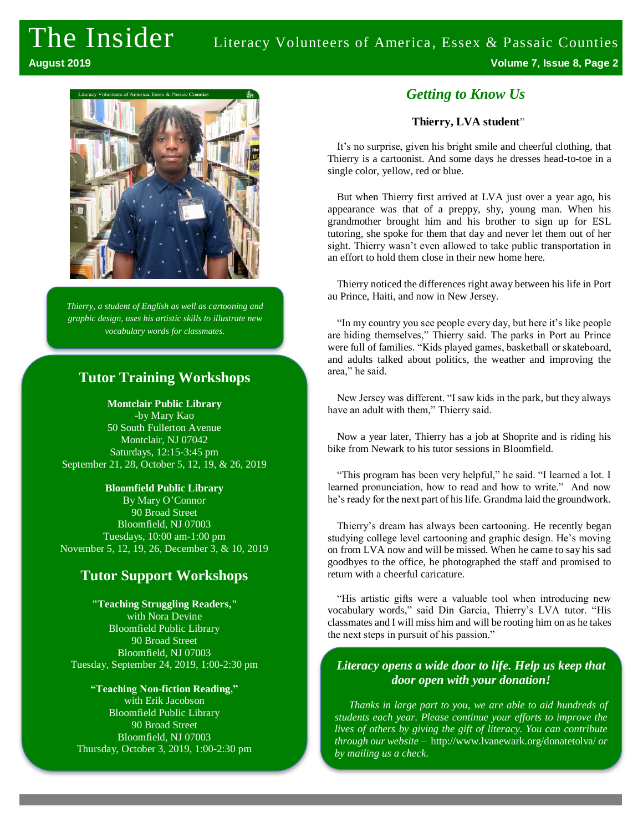# The Insider Literacy Volunteers of America, Essex & Passaic Counties **August 2019 Volume 7, Issue 8, Page 2**



*Thierry, a student of English as well as cartooning and graphic design, uses his artistic skills to illustrate new vocabulary words for classmates.* 

# **Tutor Training Workshops**

#### **Montclair Public Library**

**-**by Mary Kao 50 South Fullerton Avenue Montclair, NJ 07042 Saturdays, 12:15-3:45 pm September 21, 28, October 5, 12, 19, & 26, 2019

**Bloomfield Public Library** By Mary O'Connor 90 Broad Street Bloomfield, NJ 07003 Tuesdays, 10:00 am-1:00 pm November 5, 12, 19, 26, December 3, & 10, 2019

## **Tutor Support Workshops**

**"Teaching Struggling Readers,"** with Nora Devine Bloomfield Public Library 90 Broad Street Bloomfield, NJ 07003 Tuesday, September 24, 2019, 1:00-2:30 pm

**"Teaching Non-fiction Reading,"** with Erik Jacobson Bloomfield Public Library 90 Broad Street Bloomfield, NJ 07003 Thursday, October 3, 2019, 1:00-2:30 pm

### *Getting to Know Us*

#### **Thierry, LVA student**"

It's no surprise, given his bright smile and cheerful clothing, that Thierry is a cartoonist. And some days he dresses head-to-toe in a single color, yellow, red or blue.

But when Thierry first arrived at LVA just over a year ago, his appearance was that of a preppy, shy, young man. When his grandmother brought him and his brother to sign up for ESL tutoring, she spoke for them that day and never let them out of her sight. Thierry wasn't even allowed to take public transportation in an effort to hold them close in their new home here.

Thierry noticed the differences right away between his life in Port au Prince, Haiti, and now in New Jersey.

"In my country you see people every day, but here it's like people are hiding themselves," Thierry said. The parks in Port au Prince were full of families. "Kids played games, basketball or skateboard, and adults talked about politics, the weather and improving the area," he said.

New Jersey was different. "I saw kids in the park, but they always have an adult with them," Thierry said.

Now a year later, Thierry has a job at Shoprite and is riding his bike from Newark to his tutor sessions in Bloomfield.

"This program has been very helpful," he said. "I learned a lot. I learned pronunciation, how to read and how to write." And now he's ready for the next part of his life. Grandma laid the groundwork.

Thierry's dream has always been cartooning. He recently began studying college level cartooning and graphic design. He's moving on from LVA now and will be missed. When he came to say his sad goodbyes to the office, he photographed the staff and promised to return with a cheerful caricature.

"His artistic gifts were a valuable tool when introducing new vocabulary words," said Din Garcia, Thierry's LVA tutor. "His classmates and I will miss him and will be rooting him on as he takes the next steps in pursuit of his passion."

#### *Literacy opens a wide door to life. Help us keep that door open with your donation!*

*Thanks in large part to you, we are able to aid hundreds of students each year. Please continue your efforts to improve the lives of others by giving the gift of literacy. You can contribute through our website* – <http://www.lvanewark.org/donatetolva/> *or by mailing us a check.*